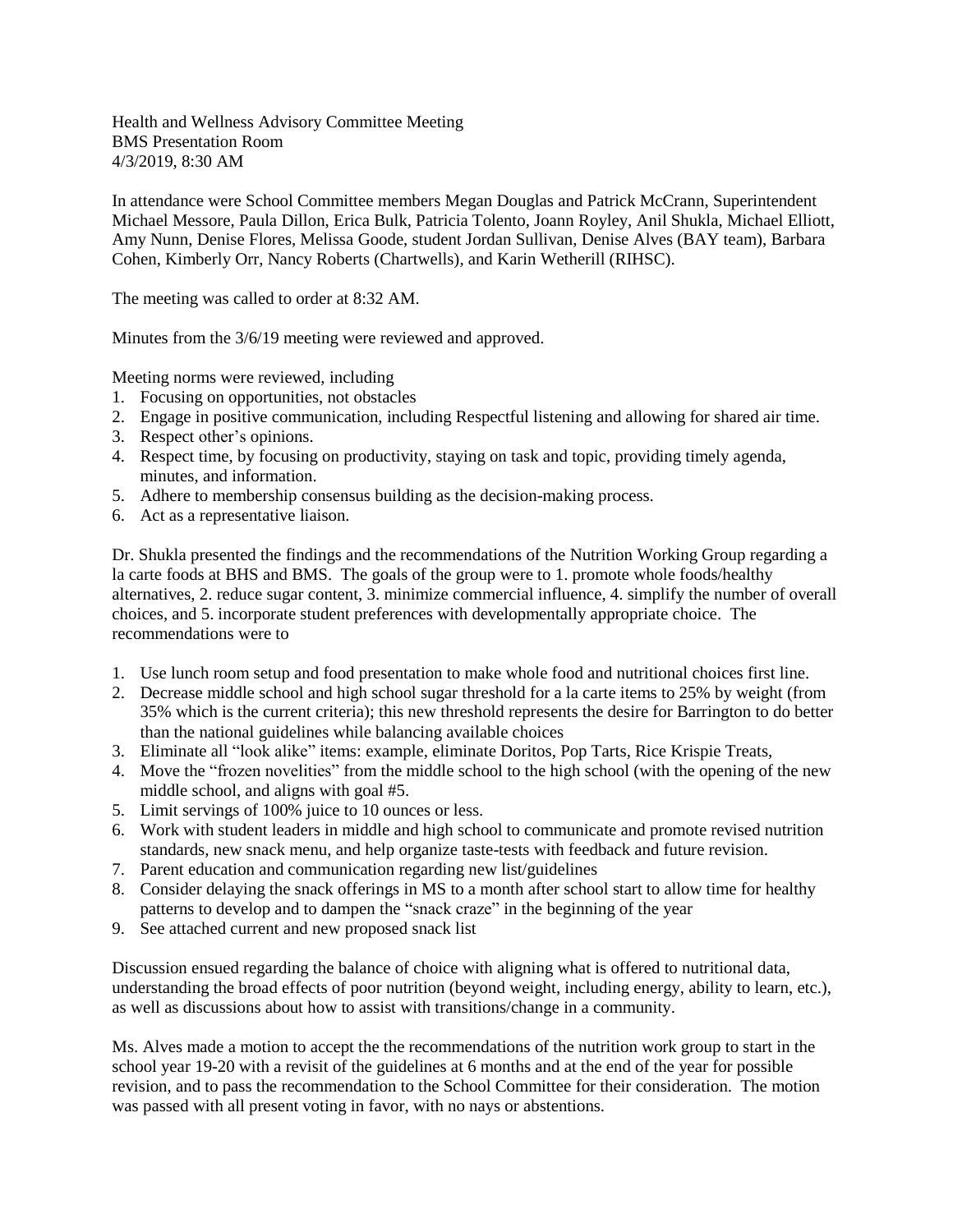Health and Wellness Advisory Committee Meeting BMS Presentation Room 4/3/2019, 8:30 AM

In attendance were School Committee members Megan Douglas and Patrick McCrann, Superintendent Michael Messore, Paula Dillon, Erica Bulk, Patricia Tolento, Joann Royley, Anil Shukla, Michael Elliott, Amy Nunn, Denise Flores, Melissa Goode, student Jordan Sullivan, Denise Alves (BAY team), Barbara Cohen, Kimberly Orr, Nancy Roberts (Chartwells), and Karin Wetherill (RIHSC).

The meeting was called to order at 8:32 AM.

Minutes from the 3/6/19 meeting were reviewed and approved.

Meeting norms were reviewed, including

- 1. Focusing on opportunities, not obstacles
- 2. Engage in positive communication, including Respectful listening and allowing for shared air time.
- 3. Respect other's opinions.
- 4. Respect time, by focusing on productivity, staying on task and topic, providing timely agenda, minutes, and information.
- 5. Adhere to membership consensus building as the decision-making process.
- 6. Act as a representative liaison.

Dr. Shukla presented the findings and the recommendations of the Nutrition Working Group regarding a la carte foods at BHS and BMS. The goals of the group were to 1. promote whole foods/healthy alternatives, 2. reduce sugar content, 3. minimize commercial influence, 4. simplify the number of overall choices, and 5. incorporate student preferences with developmentally appropriate choice. The recommendations were to

- 1. Use lunch room setup and food presentation to make whole food and nutritional choices first line.
- 2. Decrease middle school and high school sugar threshold for a la carte items to 25% by weight (from 35% which is the current criteria); this new threshold represents the desire for Barrington to do better than the national guidelines while balancing available choices
- 3. Eliminate all "look alike" items: example, eliminate Doritos, Pop Tarts, Rice Krispie Treats,
- 4. Move the "frozen novelities" from the middle school to the high school (with the opening of the new middle school, and aligns with goal #5.
- 5. Limit servings of 100% juice to 10 ounces or less.
- 6. Work with student leaders in middle and high school to communicate and promote revised nutrition standards, new snack menu, and help organize taste-tests with feedback and future revision.
- 7. Parent education and communication regarding new list/guidelines
- 8. Consider delaying the snack offerings in MS to a month after school start to allow time for healthy patterns to develop and to dampen the "snack craze" in the beginning of the year
- 9. See attached current and new proposed snack list

Discussion ensued regarding the balance of choice with aligning what is offered to nutritional data, understanding the broad effects of poor nutrition (beyond weight, including energy, ability to learn, etc.), as well as discussions about how to assist with transitions/change in a community.

Ms. Alves made a motion to accept the the recommendations of the nutrition work group to start in the school year 19-20 with a revisit of the guidelines at 6 months and at the end of the year for possible revision, and to pass the recommendation to the School Committee for their consideration. The motion was passed with all present voting in favor, with no nays or abstentions.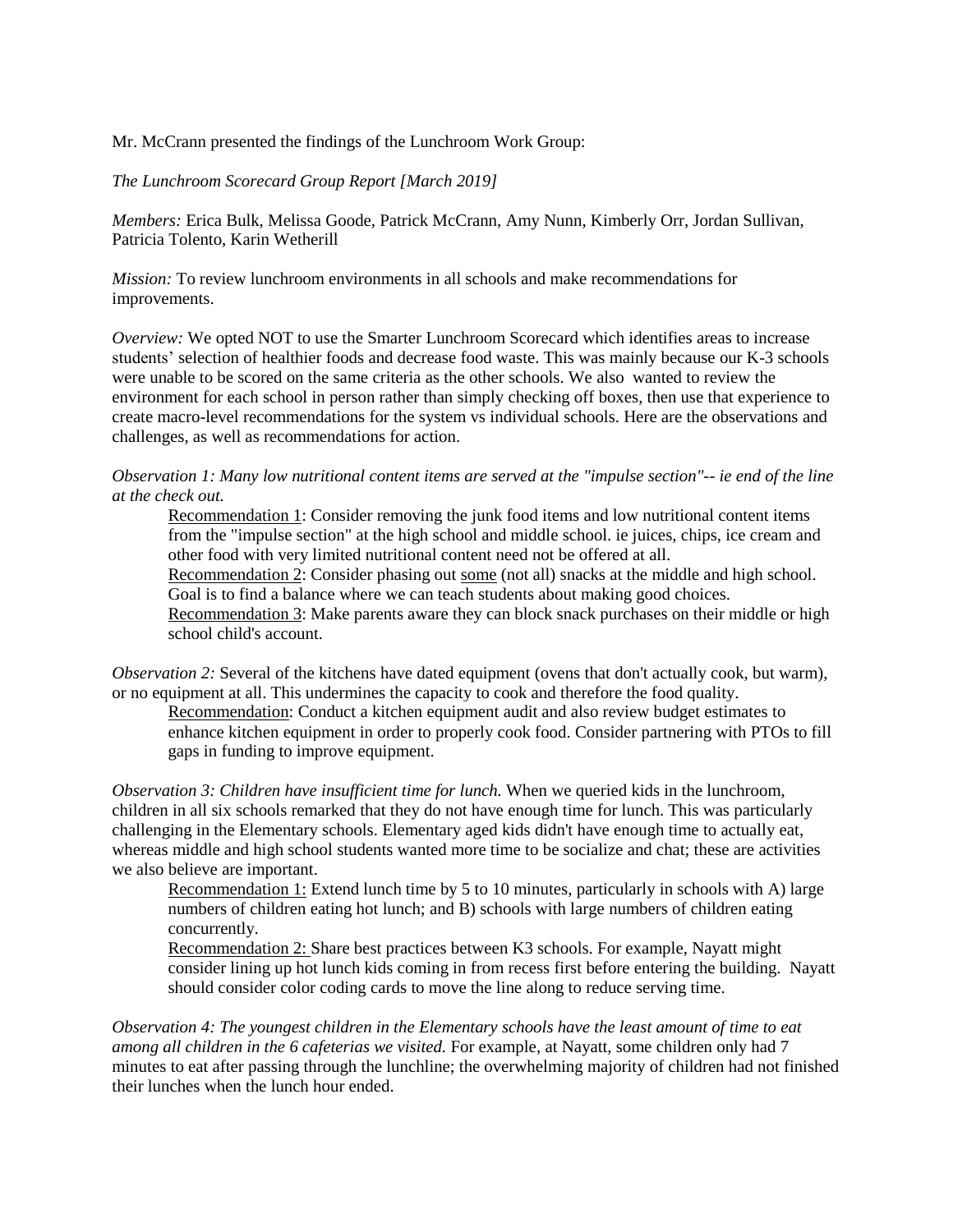Mr. McCrann presented the findings of the Lunchroom Work Group:

*The Lunchroom Scorecard Group Report [March 2019]*

*Members:* Erica Bulk, Melissa Goode, Patrick McCrann, Amy Nunn, Kimberly Orr, Jordan Sullivan, Patricia Tolento, Karin Wetherill

*Mission:* To review lunchroom environments in all schools and make recommendations for improvements.

*Overview:* We opted NOT to use the Smarter Lunchroom Scorecard which identifies areas to increase students' selection of healthier foods and decrease food waste. This was mainly because our K-3 schools were unable to be scored on the same criteria as the other schools. We also wanted to review the environment for each school in person rather than simply checking off boxes, then use that experience to create macro-level recommendations for the system vs individual schools. Here are the observations and challenges, as well as recommendations for action.

Observation 1: Many low nutritional content items are served at the "impulse section"-- ie end of the line *at the check out.*

Recommendation 1: Consider removing the junk food items and low nutritional content items from the "impulse section" at the high school and middle school. ie juices, chips, ice cream and other food with very limited nutritional content need not be offered at all.

Recommendation 2: Consider phasing out some (not all) snacks at the middle and high school. Goal is to find a balance where we can teach students about making good choices.

Recommendation 3: Make parents aware they can block snack purchases on their middle or high school child's account.

*Observation* 2: Several of the kitchens have dated equipment (ovens that don't actually cook, but warm), or no equipment at all. This undermines the capacity to cook and therefore the food quality.

Recommendation: Conduct a kitchen equipment audit and also review budget estimates to enhance kitchen equipment in order to properly cook food. Consider partnering with PTOs to fill gaps in funding to improve equipment.

*Observation 3: Children have insufficient time for lunch.* When we queried kids in the lunchroom, children in all six schools remarked that they do not have enough time for lunch. This was particularly challenging in the Elementary schools. Elementary aged kids didn't have enough time to actually eat, whereas middle and high school students wanted more time to be socialize and chat; these are activities we also believe are important.

Recommendation 1: Extend lunch time by 5 to 10 minutes, particularly in schools with A) large numbers of children eating hot lunch; and B) schools with large numbers of children eating concurrently.

Recommendation 2: Share best practices between K3 schools. For example, Nayatt might consider lining up hot lunch kids coming in from recess first before entering the building. Nayatt should consider color coding cards to move the line along to reduce serving time.

*Observation 4: The youngest children in the Elementary schools have the least amount of time to eat among all children in the 6 cafeterias we visited.* For example, at Nayatt, some children only had 7 minutes to eat after passing through the lunchline; the overwhelming majority of children had not finished their lunches when the lunch hour ended.